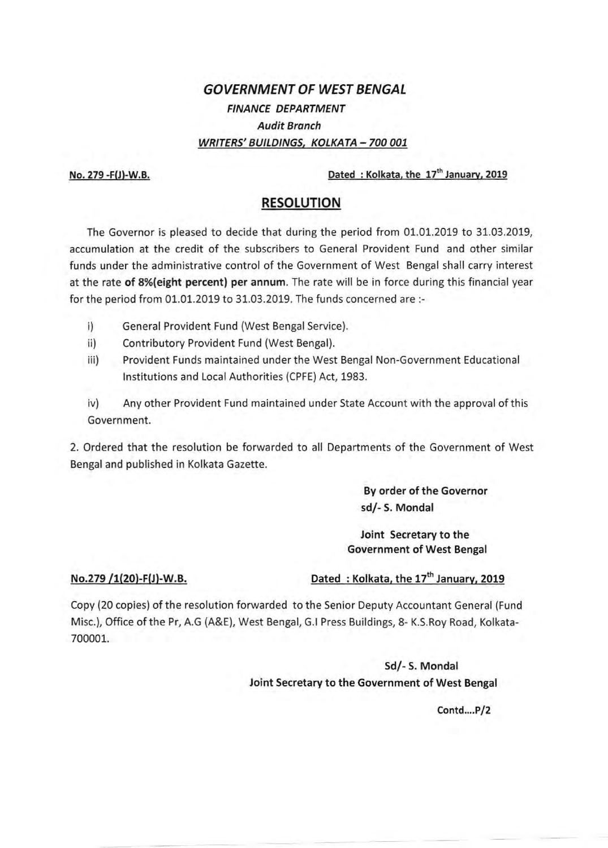## **GOVERNMENT OF WEST BENGAL**  FINANCE DEPARTMENT Audit Branch WRITERS' BUILDINGS, KOLKATA-700 001

No. 279 -F{J)-W.B.

Dated : Kolkata, the 17<sup>th</sup> January, 2019

## **RESOLUTION**

The Governor is pleased to decide that during the period from 01.01.2019 to 31.03.2019, accumulation at the credit of the subscribers to General Provident Fund and other similar funds under the administrative control of the Government of West Bengal shall carry interest at the rate of 8%(eight percent) per annum. The rate will be in force during this financial year for the period from 01.01.2019 to 31.03.2019. The funds concerned are :-

- i) General Provident Fund (West Bengal Service).
- ii) Contributory Provident Fund (West Bengal).
- iii) Provident Funds maintained under the West Bengal Non-Government Educational Institutions and Local Authorities (CPFE) Act, 1983.
- iv) Any other Provident Fund maintained under State Account with the approval of this Government.

2. Ordered that the resolution be forwarded to all Departments of the Government of West Bengal and published in Kolkata Gazette.

> By order of the Governor sd/- S. Monda!

Joint Secretary to the Government of West Bengal

## No.279 /1(20)-F(J)-W.B.

## Dated: Kolkata, the 17<sup>th</sup> January, 2019

Copy (20 copies) of the resolution forwarded to the Senior Deputy Accountant General (Fund Misc.), Office of the Pr, A.G (A&E), West Bengal, G.I Press Buildings, 8- K.S.Roy Road, Kolkata-700001.

> Sd/- S. Monda! Joint Secretary to the Government of West Bengal

> > $Contd...P/2$